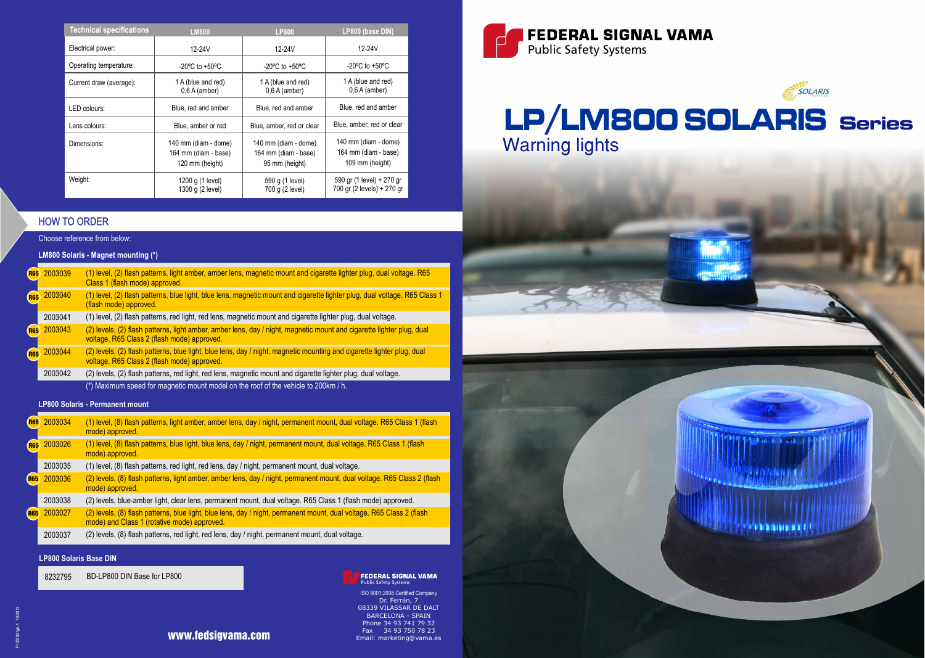



| <b>Technical specifications</b> | <b>LM800</b>                                                    | <b>LP800</b>                                                   | LP800 (base DIN)                                                |
|---------------------------------|-----------------------------------------------------------------|----------------------------------------------------------------|-----------------------------------------------------------------|
| Electrical power:               | 12-24V                                                          | 12-24V                                                         | 12-24V                                                          |
| Operating temperature:          | $-20^{\circ}$ C to $+50^{\circ}$ C                              | $-20^{\circ}$ C to $+50^{\circ}$ C                             | $-20^{\circ}$ C to $+50^{\circ}$ C                              |
| Current draw (average):         | 1 A (blue and red)<br>$0,6$ A (amber)                           | 1 A (blue and red)<br>$0,6A$ (amber)                           | 1 A (blue and red)<br>$0,6$ A (amber)                           |
| LED colours:                    | Blue, red and amber                                             | Blue, red and amber                                            | Blue, red and amber                                             |
| Lens colours:                   | Blue, amber or red                                              | Blue, amber, red or clear                                      | Blue, amber, red or clear                                       |
| Dimensions:                     | 140 mm (diam - dome)<br>164 mm (diam - base)<br>120 mm (height) | 140 mm (diam - dome)<br>164 mm (diam - base)<br>95 mm (height) | 140 mm (diam - dome)<br>164 mm (diam - base)<br>109 mm (height) |
| Weight:                         | 1200 g (1 level)<br>1300 g (2 level)                            | 590 g (1 level)<br>700 g (2 level)                             | 590 gr (1 level) + 270 gr<br>700 gr (2 levels) + 270 gr         |

### **FEDERAL SIGNAL VAMA** Public Safety Systems

## HOW TO ORDER

Choose reference from below:

## **LM800 Solaris - Magnet mounting (\*)**

## **LP800 Solaris - Permanent mount**

ISO 9001:2008 Certified Company Dr. Ferrán, 7 08339 VILASSAR DE DALT BARCELONA - SPAIN Phone 34 93 741 79 32 Fax 34 93 750 78 23 Email: marketing@vama.es

| <b>R65</b> | 2003034 | (1) level, (8) flash patterns, light amber, amber lens, day / night, permanent mount, dual voltage. R65 Class 1 (flash<br>mode) approved.                            |
|------------|---------|----------------------------------------------------------------------------------------------------------------------------------------------------------------------|
| <b>R65</b> | 2003026 | (1) level, (8) flash patterns, blue light, blue lens, day / night, permanent mount, dual voltage. R65 Class 1 (flash<br>mode) approved.                              |
|            | 2003035 | (1) level, (8) flash patterns, red light, red lens, day / night, permanent mount, dual voltage.                                                                      |
| <b>R65</b> | 2003036 | (2) levels, (8) flash patterns, light amber, amber lens, day / night, permanent mount, dual voltage. R65 Class 2 (flash<br>mode) approved.                           |
|            | 2003038 | (2) levels, blue-amber light, clear lens, permanent mount, dual voltage. R65 Class 1 (flash mode) approved.                                                          |
| <b>R65</b> | 2003027 | (2) levels, (8) flash patterns, blue light, blue lens, day / night, permanent mount, dual voltage. R65 Class 2 (flash<br>mode) and Class 1 (rotative mode) approved. |
|            | 2003037 | (2) levels, (8) flash patterns, red light, red lens, day / night, permanent mount, dual voltage.                                                                     |

|            | R65 2003039 | (1) level, (2) flash patterns, light amber, amber lens, magnetic mount and cigarette lighter plug, dual voltage. R65<br>Class 1 (flash mode) approved.                |
|------------|-------------|-----------------------------------------------------------------------------------------------------------------------------------------------------------------------|
| <b>R65</b> | 2003040     | (1) level, (2) flash patterns, blue light, blue lens, magnetic mount and cigarette lighter plug, dual voltage. R65 Class 1<br>(flash mode) approved.                  |
|            | 2003041     | (1) level, (2) flash patterns, red light, red lens, magnetic mount and cigarette lighter plug, dual voltage.                                                          |
| <b>R65</b> | 2003043     | (2) levels, (2) flash patterns, light amber, amber lens, day / night, magnetic mount and cigarette lighter plug, dual<br>voltage. R65 Class 2 (flash mode) approved.  |
| <b>R65</b> | 2003044     | (2) levels, (2) flash patterns, blue light, blue lens, day / night, magnetic mounting and cigarette lighter plug, dual<br>voltage. R65 Class 2 (flash mode) approved. |
|            | 2003042     | (2) levels, (2) flash patterns, red light, red lens, magnetic mount and cigarette lighter plug, dual voltage.                                                         |
|            |             | (*) Maximum speed for magnetic mount model on the roof of the vehicle to 200km / h.                                                                                   |

## **LP800 Solaris Base DIN**

8232795 BD-LP800 DIN Base for LP800